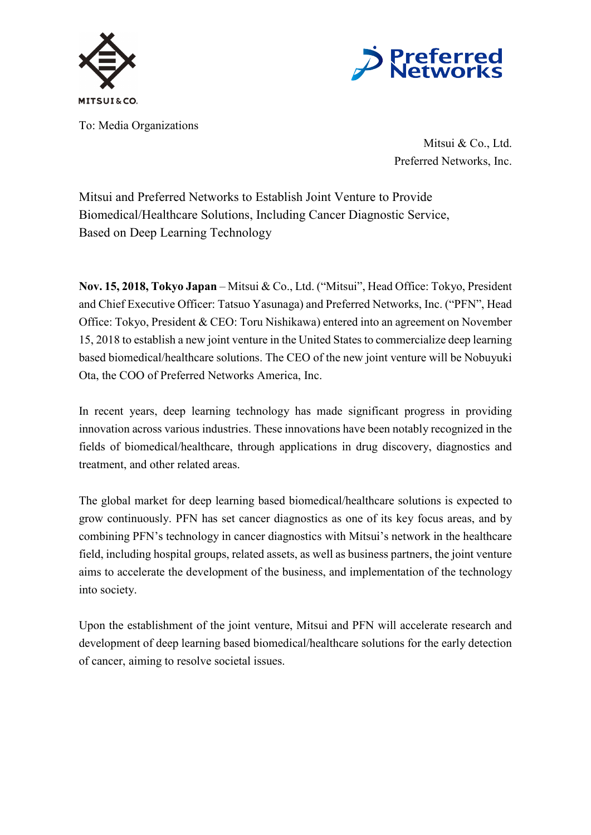



To: Media Organizations

Mitsui & Co., Ltd. Preferred Networks, Inc.

Mitsui and Preferred Networks to Establish Joint Venture to Provide Biomedical/Healthcare Solutions, Including Cancer Diagnostic Service, Based on Deep Learning Technology

**Nov. 15, 2018, Tokyo Japan** – Mitsui & Co., Ltd. ("Mitsui", Head Office: Tokyo, President and Chief Executive Officer: Tatsuo Yasunaga) and Preferred Networks, Inc. ("PFN", Head Office: Tokyo, President & CEO: Toru Nishikawa) entered into an agreement on November 15, 2018 to establish a new joint venture in the United States to commercialize deep learning based biomedical/healthcare solutions. The CEO of the new joint venture will be Nobuyuki Ota, the COO of Preferred Networks America, Inc.

In recent years, deep learning technology has made significant progress in providing innovation across various industries. These innovations have been notably recognized in the fields of biomedical/healthcare, through applications in drug discovery, diagnostics and treatment, and other related areas.

The global market for deep learning based biomedical/healthcare solutions is expected to grow continuously. PFN has set cancer diagnostics as one of its key focus areas, and by combining PFN's technology in cancer diagnostics with Mitsui's network in the healthcare field, including hospital groups, related assets, as well as business partners, the joint venture aims to accelerate the development of the business, and implementation of the technology into society.

Upon the establishment of the joint venture, Mitsui and PFN will accelerate research and development of deep learning based biomedical/healthcare solutions for the early detection of cancer, aiming to resolve societal issues.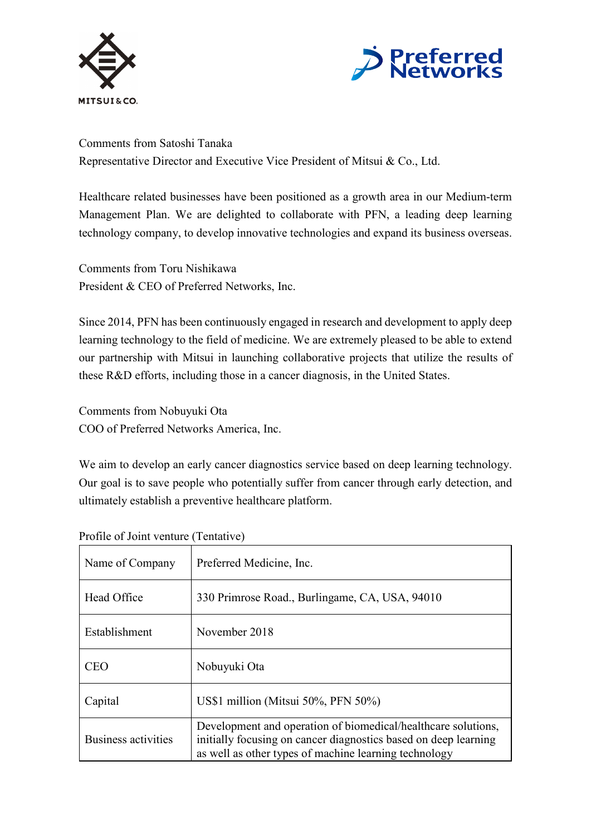



Comments from Satoshi Tanaka Representative Director and Executive Vice President of Mitsui & Co., Ltd.

Healthcare related businesses have been positioned as a growth area in our Medium-term Management Plan. We are delighted to collaborate with PFN, a leading deep learning technology company, to develop innovative technologies and expand its business overseas.

Comments from Toru Nishikawa President & CEO of Preferred Networks, Inc.

Since 2014, PFN has been continuously engaged in research and development to apply deep learning technology to the field of medicine. We are extremely pleased to be able to extend our partnership with Mitsui in launching collaborative projects that utilize the results of these R&D efforts, including those in a cancer diagnosis, in the United States.

Comments from Nobuyuki Ota COO of Preferred Networks America, Inc.

We aim to develop an early cancer diagnostics service based on deep learning technology. Our goal is to save people who potentially suffer from cancer through early detection, and ultimately establish a preventive healthcare platform.

| Name of Company     | Preferred Medicine, Inc.                                                                                                                                                                  |
|---------------------|-------------------------------------------------------------------------------------------------------------------------------------------------------------------------------------------|
| Head Office         | 330 Primrose Road., Burlingame, CA, USA, 94010                                                                                                                                            |
| Establishment       | November 2018                                                                                                                                                                             |
| <b>CEO</b>          | Nobuyuki Ota                                                                                                                                                                              |
| Capital             | US\$1 million (Mitsui $50\%$ , PFN $50\%$ )                                                                                                                                               |
| Business activities | Development and operation of biomedical/healthcare solutions,<br>initially focusing on cancer diagnostics based on deep learning<br>as well as other types of machine learning technology |

Profile of Joint venture (Tentative)